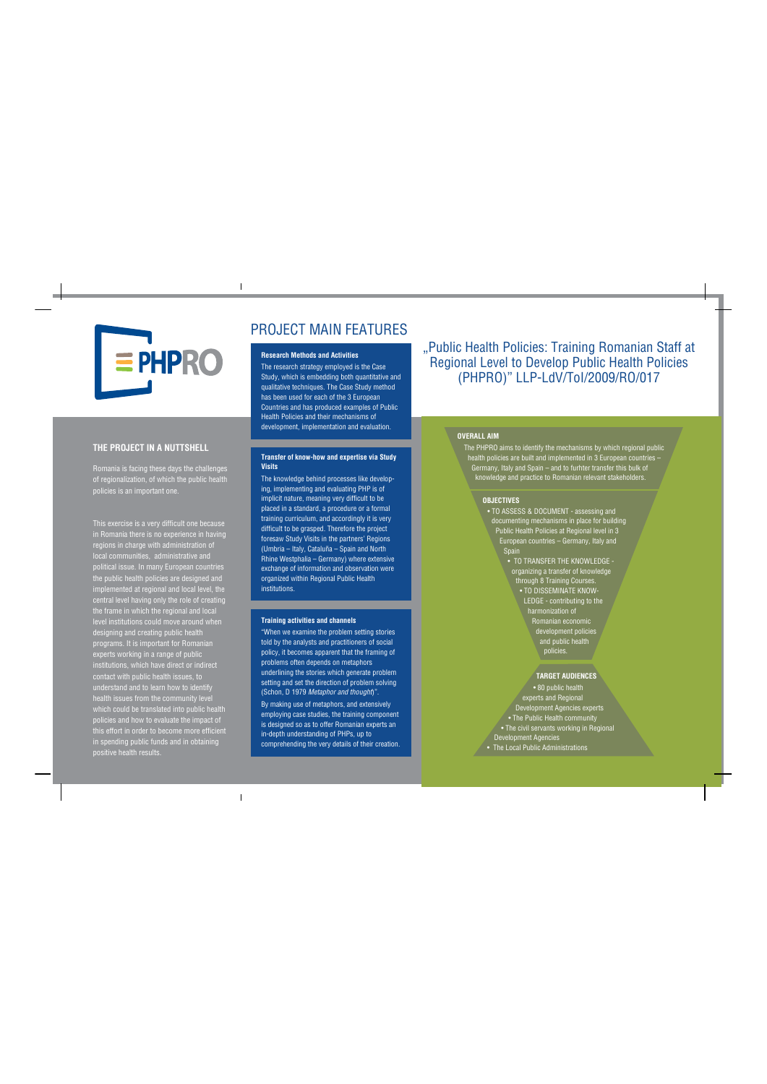

# **THE PROJECT IN A NUTTSHELL**

Romania is facing these days the challenges of regionalization, of which the public health policies is an important one.

This exercise is a very difficult one because in Romania there is no experience in having regions in charge with administration of local communities, administrative and political issue. In many European countries the public health policies are designed and implemented at regional and local level, the central level having only the role of creating the frame in which the regional and local level institutions could move around when designing and creating public health programs. It is important for Romanian experts working in a range of public institutions, which have direct or indirect contact with public health issues, to understand and to learn how to identify health issues from the community level which could be translated into public health policies and how to evaluate the impact of this effort in order to become more efficient in spending public funds and in obtaining positive health results.

# PROJECT MAIN FEATURES

## **Research Methods and Activities**

The research strategy employed is the Case Study, which is embedding both quantitative and qualitative techniques. The Case Study method has been used for each of the 3 European Countries and has produced examples of Public Health Policies and their mechanisms of development, implementation and evaluation.

## **Transfer of know-how and expertise via Study Visits**

The knowledge behind processes like developing, implementing and evaluating PHP is of implicit nature, meaning very difficult to be placed in a standard, a procedure or a formal training curriculum, and accordingly it is very difficult to be grasped. Therefore the project foresaw Study Visits in the partners' Regions (Umbria – Italy, Cataluña – Spain and North Rhine Westphalia – Germany) where extensive exchange of information and observation were organized within Regional Public Health institutions.

#### **Training activities and channels**

"When we examine the problem setting stories told by the analysts and practitioners of social policy, it becomes apparent that the framing of problems often depends on metaphors underlining the stories which generate problem setting and set the direction of problem solving (Schon, D 1979 *Metaphor and thought*)". By making use of metaphors, and extensively employing case studies, the training component is designed so as to offer Romanian experts an in-depth understanding of PHPs, up to comprehending the very details of their creation. "Public Health Policies: Training Romanian Staff at Regional Level to Develop Public Health Policies (PHPRO)" LLP-LdV/ToI/2009/RO/017

## **OVERALL AIM**

The PHPRO aims to identify the mechanisms by which regional public health policies are built and implemented in 3 European countries – Germany, Italy and Spain – and to furhter transfer this bulk of knowledge and practice to Romanian relevant stakeholders.

#### **OBJECTIVES**

- TO ASSESS & DOCUMENT assessing and documenting mechanisms in place for building Public Health Policies at Regional level in 3 European countries – Germany, Italy and **Spain** 
	- TO TRANSFER THE KNOWLEDGE organizing a transfer of knowledge through 8 Training Courses.
		- TO DISSEMINATE KNOW-LEDGE - contributing to the harmonization of Romanian economic development policies and public health policies.

#### **TARGET AUDIENCES**

• 80 public health experts and Regional Development Agencies experts • The Public Health community • The civil servants working in Regional Development Agencies • The Local Public Administrations